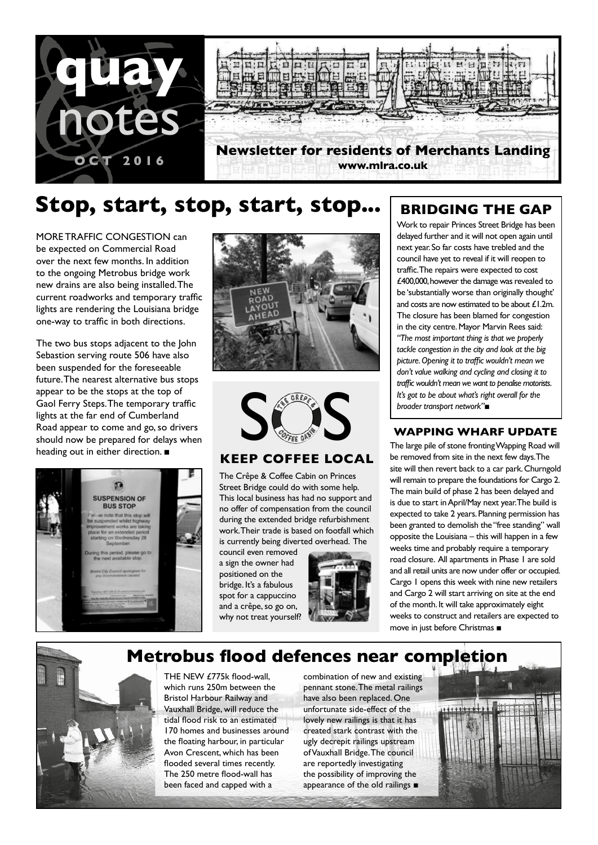

# **Stop, start, stop, start, stop...**

MORE TRAFFIC CONGESTION can be expected on Commercial Road over the next few months. In addition to the ongoing Metrobus bridge work new drains are also being installed. The current roadworks and temporary traffic lights are rendering the Louisiana bridge one-way to traffic in both directions.

The two bus stops adjacent to the John Sebastion serving route 506 have also been suspended for the foreseeable future. The nearest alternative bus stops appear to be the stops at the top of Gaol Ferry Steps. The temporary traffic lights at the far end of Cumberland Road appear to come and go, so drivers should now be prepared for delays when heading out in either direction. ■







### **KEEP COFFEE LOCAL**

The Crêpe & Coffee Cabin on Princes Street Bridge could do with some help. This local business has had no support and no offer of compensation from the council during the extended bridge refurbishment work. Their trade is based on footfall which is currently being diverted overhead. The

council even removed a sign the owner had positioned on the bridge. It's a fabulous spot for a cappuccino and a crêpe, so go on, why not treat yourself?



### **BRIDGING THE GAP**

Work to repair Princes Street Bridge has been delayed further and it will not open again until next year. So far costs have trebled and the council have yet to reveal if it will reopen to traffic. The repairs were expected to cost £400,000, however the damage was revealed to be 'substantially worse than originally thought' and costs are now estimated to be about £1.2m. The closure has been blamed for congestion in the city centre. Mayor Marvin Rees said: *"The most important thing is that we properly tackle congestion in the city and look at the big picture. Opening it to traffic wouldn't mean we don't value walking and cycling and closing it to traffic wouldn't mean we want to penalise motorists. It's got to be about what's right overall for the broader transport network"*■

The large pile of stone fronting Wapping Road will be removed from site in the next few days. The site will then revert back to a car park. Churngold will remain to prepare the foundations for Cargo 2. The main build of phase 2 has been delayed and is due to start in April/May next year. The build is expected to take 2 years. Planning permission has been granted to demolish the "free standing" wall opposite the Louisiana – this will happen in a few weeks time and probably require a temporary road closure. All apartments in Phase 1 are sold and all retail units are now under offer or occupied. Cargo 1 opens this week with nine new retailers and Cargo 2 will start arriving on site at the end of the month. It will take approximately eight weeks to construct and retailers are expected to move in just before Christmas ■

## **Metrobus flood defences near completion**



THE NEW £775k flood-wall. which runs 250m between the Bristol Harbour Railway and Vauxhall Bridge, will reduce the tidal flood risk to an estimated 170 homes and businesses around the floating harbour, in particular Avon Crescent, which has been flooded several times recently. The 250 metre flood-wall has been faced and capped with a

combination of new and existing pennant stone. The metal railings have also been replaced. One unfortunate side-effect of the lovely new railings is that it has created stark contrast with the ugly decrepit railings upstream of Vauxhall Bridge. The council are reportedly investigating the possibility of improving the appearance of the old railings ■